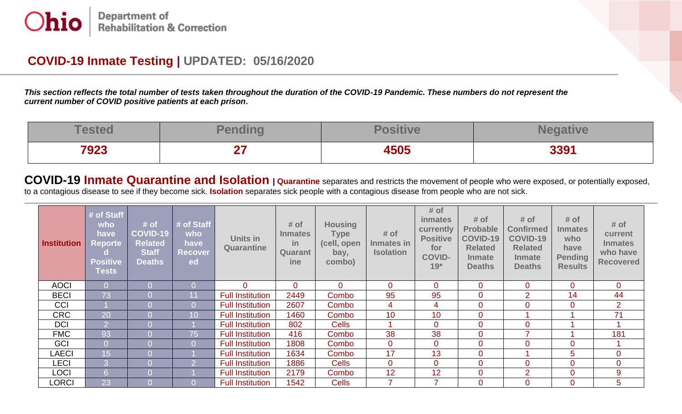## **COVID-19 Inmate Testing | UPDATED: 05/16/2020**

*This section reflects the total number of tests taken throughout the duration of the COVID-19 Pandemic. These numbers do not represent the current number of COVID positive patients at each prison***.**

| Toston | <b>ALC 1</b><br>,,,,,,,,          | $\mathbf{m}$ $\mathbf{m}$ |      |
|--------|-----------------------------------|---------------------------|------|
| 7923   | <b>Contract Contract Contract</b> | 4505                      | 3391 |

**COVID-19 Inmate Quarantine and Isolation | Quarantine** separates and restricts the movement of people who were exposed, or potentially exposed, to a contagious disease to see if they become sick. **Isolation** separates sick people with a contagious disease from people who are not sick.

| <b>Institution</b> | # of Staff<br>who<br>have<br><b>Reporte</b><br><b>Positive</b><br><b>Tests</b> | # of<br><b>COVID-19</b><br><b>Related</b><br><b>Staff</b><br><b>Deaths</b> | # of Staff<br>who<br>have<br><b>Recover</b><br>ed | Units in<br><b>Quarantine</b> | # of<br><b>Inmates</b><br>-in<br>Quarant<br><i>ine</i> | <b>Housing</b><br><b>Type</b><br>(cell, open<br>bay,<br>combo) | # of<br>Inmates in<br><b>Isolation</b> | # of<br><i>inmates</i><br>currently<br><b>Positive</b><br>for<br><b>COVID-</b><br>$19*$ | # of<br><b>Probable</b><br><b>COVID-19</b><br><b>Related</b><br><b>Inmate</b><br><b>Deaths</b> | # of<br><b>Confirmed</b><br><b>COVID-19</b><br><b>Related</b><br><b>Inmate</b><br><b>Deaths</b> | # of<br><b>Inmates</b><br>who<br>have<br><b>Pending</b><br><b>Results</b> | # of<br>current<br><b>Inmates</b><br>who have<br><b>Recovered</b> |
|--------------------|--------------------------------------------------------------------------------|----------------------------------------------------------------------------|---------------------------------------------------|-------------------------------|--------------------------------------------------------|----------------------------------------------------------------|----------------------------------------|-----------------------------------------------------------------------------------------|------------------------------------------------------------------------------------------------|-------------------------------------------------------------------------------------------------|---------------------------------------------------------------------------|-------------------------------------------------------------------|
| <b>AOCI</b>        |                                                                                |                                                                            | $\Omega$                                          | $\overline{0}$                | $\overline{0}$                                         | $\mathbf{0}$                                                   | $\overline{0}$                         | 0                                                                                       | $\overline{0}$                                                                                 | $\mathbf{0}$                                                                                    | $\mathbf 0$                                                               | $\overline{0}$                                                    |
| <b>BECI</b>        | 73                                                                             |                                                                            | 11                                                | <b>Full Institution</b>       | 2449                                                   | Combo                                                          | 95                                     | 95                                                                                      | $\mathbf 0$                                                                                    | $\overline{2}$                                                                                  | 14                                                                        | 44                                                                |
| CCI                |                                                                                |                                                                            | $\Omega$                                          | <b>Full Institution</b>       | 2607                                                   | Combo                                                          | 4                                      | 4                                                                                       | $\overline{0}$                                                                                 | $\overline{0}$                                                                                  | $\overline{0}$                                                            | $\overline{2}$                                                    |
| <b>CRC</b>         | $\overline{20}$                                                                |                                                                            | 10                                                | <b>Full Institution</b>       | 1460                                                   | Combo                                                          | 10                                     | 10                                                                                      | $\mathbf 0$                                                                                    |                                                                                                 |                                                                           | 71                                                                |
| <b>DCI</b>         | 2                                                                              |                                                                            |                                                   | <b>Full Institution</b>       | 802                                                    | <b>Cells</b>                                                   |                                        | 0                                                                                       | $\overline{0}$                                                                                 | $\overline{0}$                                                                                  |                                                                           |                                                                   |
| <b>FMC</b>         | 93                                                                             | $\Omega$                                                                   | 75                                                | <b>Full Institution</b>       | 416                                                    | Combo                                                          | 38                                     | 38                                                                                      | $\overline{0}$                                                                                 |                                                                                                 |                                                                           | 181                                                               |
| GCI                |                                                                                | $\Omega$                                                                   | $\Omega$                                          | <b>Full Institution</b>       | 1808                                                   | Combo                                                          | $\mathbf 0$                            | $\overline{0}$                                                                          | $\mathbf 0$                                                                                    | $\overline{0}$                                                                                  | $\overline{0}$                                                            |                                                                   |
| <b>LAECI</b>       | 15 <sub>1</sub>                                                                | $\Omega$                                                                   |                                                   | <b>Full Institution</b>       | 1634                                                   | Combo                                                          | 17                                     | 13                                                                                      | $\mathbf 0$                                                                                    |                                                                                                 | 5                                                                         | $\overline{0}$                                                    |
| <b>LECI</b>        |                                                                                |                                                                            |                                                   | <b>Full Institution</b>       | 1886                                                   | <b>Cells</b>                                                   | $\overline{0}$                         | $\overline{0}$                                                                          | $\mathbf 0$                                                                                    | $\mathbf{0}$                                                                                    | $\mathbf 0$                                                               | $\overline{0}$                                                    |
| <b>LOCI</b>        | 6                                                                              |                                                                            |                                                   | <b>Full Institution</b>       | 2179                                                   | Combo                                                          | 12                                     | 12                                                                                      | $\overline{0}$                                                                                 | $\overline{2}$                                                                                  | $\overline{0}$                                                            | 9                                                                 |
| <b>LORCI</b>       | 23                                                                             |                                                                            |                                                   | <b>Full Institution</b>       | 1542                                                   | <b>Cells</b>                                                   | 7                                      | ⇁                                                                                       | $\overline{0}$                                                                                 | $\overline{0}$                                                                                  | $\overline{0}$                                                            | 5                                                                 |